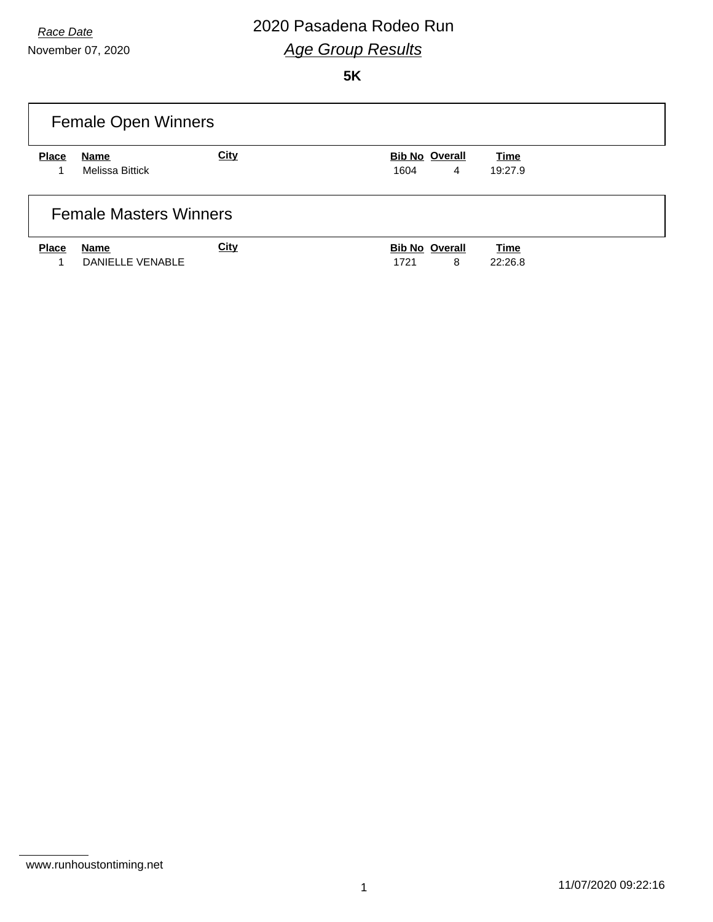November 07, 2020

## *Race Date* 2020 Pasadena Rodeo Run *Age Group Results*

|                               | <b>Female Open Winners</b> |             |                       |         |  |  |
|-------------------------------|----------------------------|-------------|-----------------------|---------|--|--|
| <b>Place</b>                  | Name                       | <b>City</b> | <b>Bib No Overall</b> | Time    |  |  |
|                               | <b>Melissa Bittick</b>     |             | 1604<br>4             | 19:27.9 |  |  |
| <b>Female Masters Winners</b> |                            |             |                       |         |  |  |
| <b>Place</b>                  | Name                       | <b>City</b> | <b>Bib No Overall</b> | Time    |  |  |
|                               | DANIFLLE VENABLE           |             | 8<br>1721             | 22:26.8 |  |  |

www.runhoustontiming.net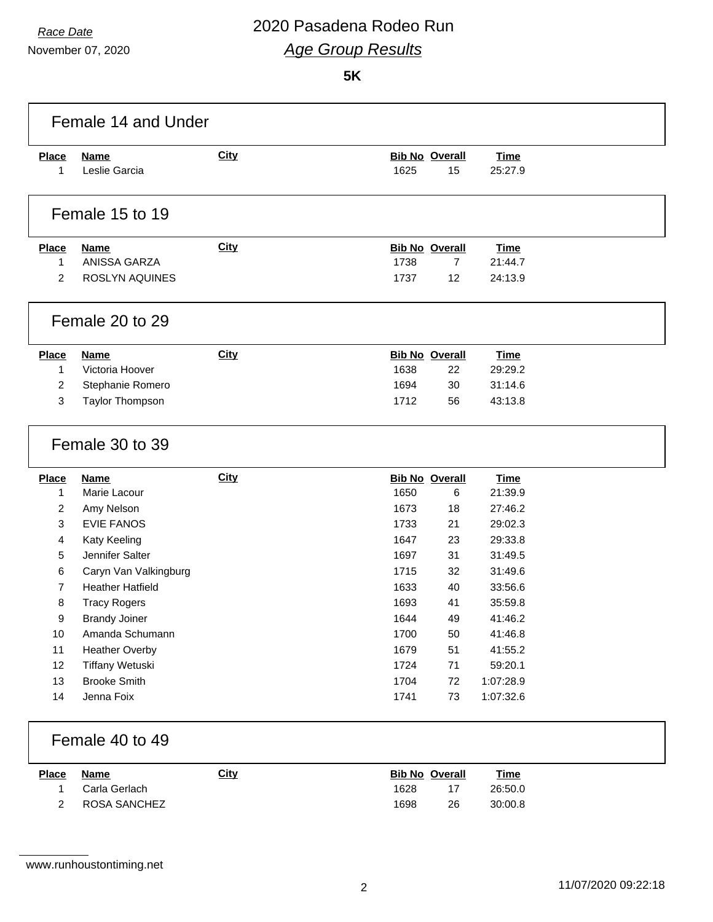November 07, 2020

| <b>Place</b><br>1 |                                               | <b>City</b> |                       | <b>Bib No Overall</b> | <b>Time</b>          |  |
|-------------------|-----------------------------------------------|-------------|-----------------------|-----------------------|----------------------|--|
|                   | <b>Name</b><br>Leslie Garcia                  |             | 1625                  | 15                    | 25:27.9              |  |
|                   |                                               |             |                       |                       |                      |  |
|                   | Female 15 to 19                               |             |                       |                       |                      |  |
| <b>Place</b>      | <b>Name</b>                                   | <b>City</b> | <b>Bib No Overall</b> |                       | <b>Time</b>          |  |
| $\mathbf{1}$      | ANISSA GARZA                                  |             | 1738                  | $\overline{7}$        | 21:44.7              |  |
| 2                 | ROSLYN AQUINES                                |             | 1737                  | 12                    | 24:13.9              |  |
|                   | Female 20 to 29                               |             |                       |                       |                      |  |
| <b>Place</b>      | <b>Name</b>                                   | <b>City</b> | <b>Bib No Overall</b> |                       | <b>Time</b>          |  |
| $\mathbf{1}$      | Victoria Hoover                               |             | 1638                  | 22                    | 29:29.2              |  |
| $\overline{c}$    | Stephanie Romero                              |             | 1694                  | 30                    | 31:14.6              |  |
|                   |                                               |             |                       | 56                    | 43:13.8              |  |
| 3                 | Taylor Thompson                               |             | 1712                  |                       |                      |  |
|                   | Female 30 to 39                               |             |                       |                       |                      |  |
| <b>Place</b>      | <b>Name</b>                                   | <b>City</b> | <b>Bib No Overall</b> |                       | <b>Time</b>          |  |
| 1                 | Marie Lacour                                  |             | 1650                  | 6                     | 21:39.9              |  |
| $\overline{2}$    | Amy Nelson                                    |             | 1673                  | 18                    | 27:46.2              |  |
| 3                 | <b>EVIE FANOS</b>                             |             | 1733                  | 21                    | 29:02.3              |  |
| 4                 | Katy Keeling                                  |             | 1647                  | 23                    | 29:33.8              |  |
| 5                 | Jennifer Salter                               |             | 1697                  | 31                    | 31:49.5              |  |
| 6                 | Caryn Van Valkingburg                         |             | 1715                  | 32                    | 31:49.6              |  |
| $\overline{7}$    | <b>Heather Hatfield</b>                       |             | 1633                  | 40<br>41              | 33:56.6              |  |
| 8<br>9            | <b>Tracy Rogers</b>                           |             | 1693                  |                       | 35:59.8              |  |
|                   | <b>Brandy Joiner</b>                          |             | 1644                  | 49                    | 41:46.2              |  |
| 10                | Amanda Schumann                               |             | 1700                  | 50                    | 41:46.8              |  |
| 11                | <b>Heather Overby</b>                         |             | 1679                  | 51                    | 41:55.2              |  |
| 12<br>13          | <b>Tiffany Wetuski</b><br><b>Brooke Smith</b> |             | 1724<br>1704          | 71<br>72              | 59:20.1<br>1:07:28.9 |  |

| <u>Place</u> | Name            | <u>City</u> | <b>Bib No Overall</b> |    | Time    |
|--------------|-----------------|-------------|-----------------------|----|---------|
|              | 1 Carla Gerlach |             | 1628                  |    | 26:50.0 |
|              | 2 ROSA SANCHEZ  |             | 1698                  | 26 | 30:00.8 |

www.runhoustontiming.net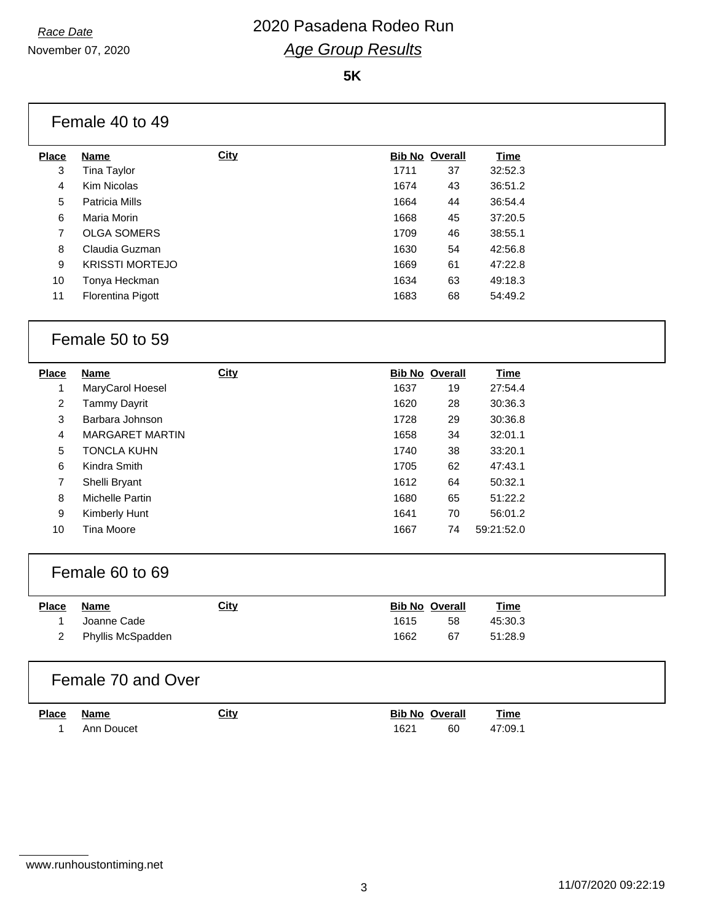November 07, 2020

#### **5K**

| <b>Place</b>            | <b>Name</b>            | <b>City</b> |      | <b>Bib No Overall</b> | <b>Time</b> |
|-------------------------|------------------------|-------------|------|-----------------------|-------------|
| 3                       | <b>Tina Taylor</b>     |             | 1711 | 37                    | 32:52.3     |
| 4                       | Kim Nicolas            |             | 1674 | 43                    | 36:51.2     |
| 5                       | <b>Patricia Mills</b>  |             | 1664 | 44                    | 36:54.4     |
| 6                       | Maria Morin            |             | 1668 | 45                    | 37:20.5     |
| $\overline{7}$          | <b>OLGA SOMERS</b>     |             | 1709 | 46                    | 38:55.1     |
| 8                       | Claudia Guzman         |             | 1630 | 54                    | 42:56.8     |
| 9                       | <b>KRISSTI MORTEJO</b> |             | 1669 | 61                    | 47:22.8     |
| 10                      | Tonya Heckman          |             | 1634 | 63                    | 49:18.3     |
| 11                      | Florentina Pigott      |             | 1683 | 68                    | 54:49.2     |
|                         | Female 50 to 59        |             |      |                       |             |
| <b>Place</b>            | <b>Name</b>            | City        |      | <b>Bib No Overall</b> | <b>Time</b> |
| 1                       | MaryCarol Hoesel       |             | 1637 | 19                    | 27:54.4     |
| $\overline{\mathbf{c}}$ | <b>Tammy Dayrit</b>    |             | 1620 | 28                    | 30:36.3     |
| 3                       | Barbara Johnson        |             | 1728 | 29                    | 30:36.8     |
| 4                       | <b>MARGARET MARTIN</b> |             | 1658 | 34                    | 32:01.1     |
| 5                       | <b>TONCLA KUHN</b>     |             | 1740 | 38                    | 33:20.1     |
| 6                       | Kindra Smith           |             | 1705 | 62                    | 47:43.1     |
| 7                       | Shelli Bryant          |             | 1612 | 64                    | 50:32.1     |
| 8                       | Michelle Partin        |             | 1680 | 65                    | 51:22.2     |
| 9                       | Kimberly Hunt          |             | 1641 | 70                    | 56:01.2     |
| 10                      | <b>Tina Moore</b>      |             | 1667 | 74                    | 59:21:52.0  |
|                         | Female 60 to 69        |             |      |                       |             |
| <b>Place</b>            | <b>Name</b>            | <b>City</b> |      | <b>Bib No Overall</b> | Time        |
| 1                       | Joanne Cade            |             | 1615 | 58                    | 45:30.3     |
| 2                       | Phyllis McSpadden      |             | 1662 | 67                    | 51:28.9     |

1 Ann Doucet 2008 1621 60 47:09.1

www.runhoustontiming.net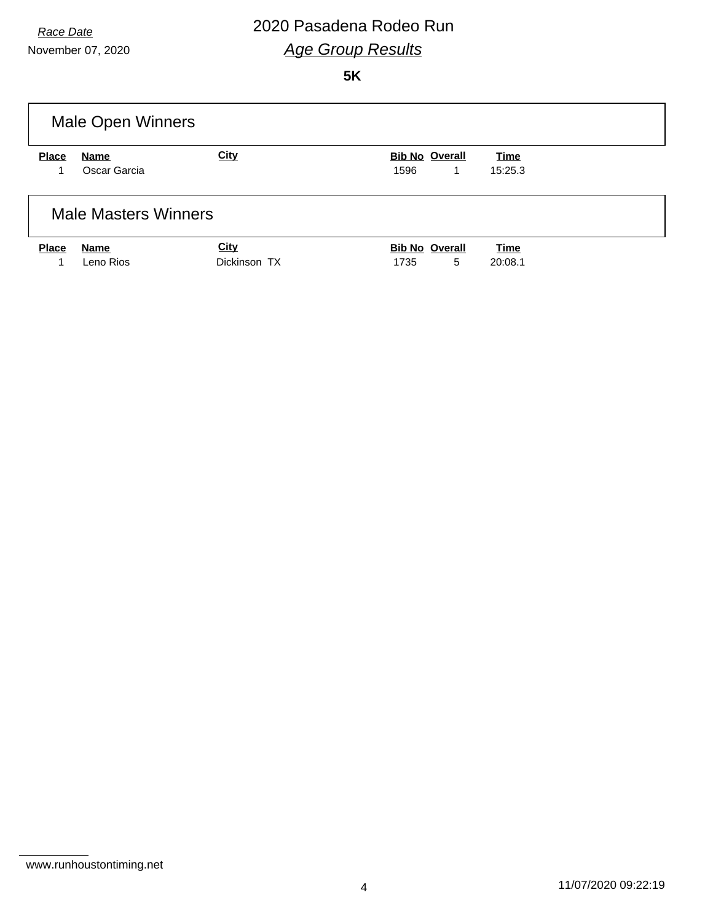November 07, 2020

## *Race Date* 2020 Pasadena Rodeo Run *Age Group Results*

| <b>Male Open Winners</b>             |  |  |  |  |  |  |
|--------------------------------------|--|--|--|--|--|--|
| <b>Bib No Overall</b><br>Time        |  |  |  |  |  |  |
| 1596<br>15:25.3<br>1                 |  |  |  |  |  |  |
|                                      |  |  |  |  |  |  |
|                                      |  |  |  |  |  |  |
| <b>Bib No Overall</b><br><b>Time</b> |  |  |  |  |  |  |
| 5<br>1735<br>20:08.1                 |  |  |  |  |  |  |
|                                      |  |  |  |  |  |  |

www.runhoustontiming.net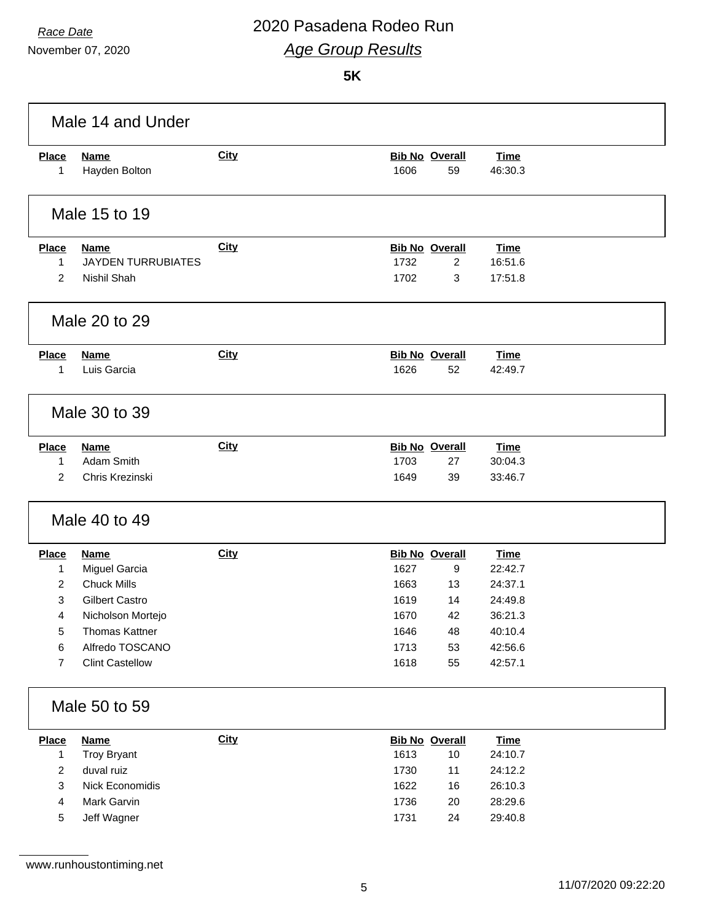November 07, 2020

|                         | Male 14 and Under            |             |                                     |                        |  |
|-------------------------|------------------------------|-------------|-------------------------------------|------------------------|--|
| <b>Place</b><br>1       | <b>Name</b><br>Hayden Bolton | <b>City</b> | <b>Bib No Overall</b><br>1606<br>59 | <b>Time</b><br>46:30.3 |  |
|                         | Male 15 to 19                |             |                                     |                        |  |
| <b>Place</b>            | <b>Name</b>                  | <b>City</b> | <b>Bib No Overall</b>               | <b>Time</b>            |  |
| 1                       | <b>JAYDEN TURRUBIATES</b>    |             | 1732<br>$\overline{2}$              | 16:51.6                |  |
| $\overline{2}$          | Nishil Shah                  |             | 1702<br>3                           | 17:51.8                |  |
|                         | Male 20 to 29                |             |                                     |                        |  |
| <b>Place</b>            | <b>Name</b>                  | <b>City</b> | <b>Bib No Overall</b>               | <b>Time</b>            |  |
| 1                       | Luis Garcia                  |             | 1626<br>52                          | 42:49.7                |  |
|                         | Male 30 to 39                |             |                                     |                        |  |
| <b>Place</b>            | <b>Name</b>                  | <b>City</b> | <b>Bib No Overall</b>               | <b>Time</b>            |  |
| 1                       | Adam Smith                   |             | 1703<br>27                          | 30:04.3                |  |
| $\overline{2}$          | Chris Krezinski              |             | 1649<br>39                          | 33:46.7                |  |
|                         | Male 40 to 49                |             |                                     |                        |  |
| <b>Place</b>            | <b>Name</b>                  | <b>City</b> | <b>Bib No Overall</b>               | <b>Time</b>            |  |
| 1                       | Miguel Garcia                |             | 1627<br>9                           | 22:42.7                |  |
| 2                       | <b>Chuck Mills</b>           |             | 1663<br>13                          | 24:37.1                |  |
| 3                       | <b>Gilbert Castro</b>        |             | 1619<br>14                          | 24:49.8                |  |
| 4                       | Nicholson Mortejo            |             | 42<br>1670                          | 36:21.3                |  |
| 5                       | <b>Thomas Kattner</b>        |             | 1646<br>48                          | 40:10.4                |  |
| 6                       | Alfredo TOSCANO              |             | 1713<br>53                          | 42:56.6                |  |
| 7                       | <b>Clint Castellow</b>       |             | 1618<br>55                          | 42:57.1                |  |
|                         | Male 50 to 59                |             |                                     |                        |  |
| <b>Place</b>            | <b>Name</b>                  | <b>City</b> | <b>Bib No Overall</b>               | <b>Time</b>            |  |
| $\mathbf{1}$            | <b>Troy Bryant</b>           |             | 1613<br>$10$                        | 24:10.7                |  |
| $\overline{c}$          | duval ruiz                   |             | 1730<br>11                          | 24:12.2                |  |
| 3                       | Nick Economidis              |             | 1622<br>16                          | 26:10.3                |  |
| $\overline{\mathbf{r}}$ | Mark Garvin                  |             | 1736<br>20                          | 28:29.6                |  |
| 5                       | Jeff Wagner                  |             | 1731<br>24                          | 29:40.8                |  |
|                         | www.runhoustontiming.net     |             |                                     |                        |  |